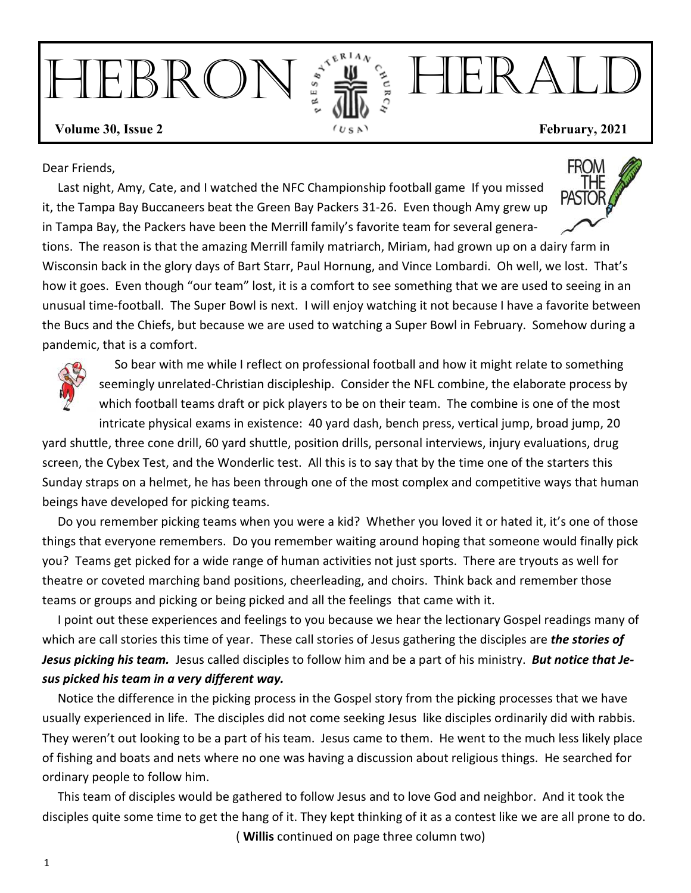# HEBRON FILL HERALD **Volume 30, Issue 2** *Cu<sub>SA</sub> Cu<sub>SA</sub>* **February, 2021**

Dear Friends,

Last night, Amy, Cate, and I watched the NFC Championship football game If you missed it, the Tampa Bay Buccaneers beat the Green Bay Packers 31-26. Even though Amy grew up in Tampa Bay, the Packers have been the Merrill family's favorite team for several genera-



tions. The reason is that the amazing Merrill family matriarch, Miriam, had grown up on a dairy farm in Wisconsin back in the glory days of Bart Starr, Paul Hornung, and Vince Lombardi. Oh well, we lost. That's how it goes. Even though "our team" lost, it is a comfort to see something that we are used to seeing in an unusual time-football. The Super Bowl is next. I will enjoy watching it not because I have a favorite between the Bucs and the Chiefs, but because we are used to watching a Super Bowl in February. Somehow during a pandemic, that is a comfort.



 So bear with me while I reflect on professional football and how it might relate to something seemingly unrelated-Christian discipleship. Consider the NFL combine, the elaborate process by which football teams draft or pick players to be on their team. The combine is one of the most

intricate physical exams in existence: 40 yard dash, bench press, vertical jump, broad jump, 20 yard shuttle, three cone drill, 60 yard shuttle, position drills, personal interviews, injury evaluations, drug screen, the Cybex Test, and the Wonderlic test. All this is to say that by the time one of the starters this Sunday straps on a helmet, he has been through one of the most complex and competitive ways that human beings have developed for picking teams.

Do you remember picking teams when you were a kid? Whether you loved it or hated it, it's one of those things that everyone remembers. Do you remember waiting around hoping that someone would finally pick you? Teams get picked for a wide range of human activities not just sports. There are tryouts as well for theatre or coveted marching band positions, cheerleading, and choirs. Think back and remember those teams or groups and picking or being picked and all the feelings that came with it.

I point out these experiences and feelings to you because we hear the lectionary Gospel readings many of which are call stories this time of year. These call stories of Jesus gathering the disciples are *the stories of* Jesus picking his team. Jesus called disciples to follow him and be a part of his ministry. But notice that Je*sus picked his team in a very different way.* 

Notice the difference in the picking process in the Gospel story from the picking processes that we have usually experienced in life. The disciples did not come seeking Jesus like disciples ordinarily did with rabbis. They weren't out looking to be a part of his team. Jesus came to them. He went to the much less likely place of fishing and boats and nets where no one was having a discussion about religious things. He searched for ordinary people to follow him.

This team of disciples would be gathered to follow Jesus and to love God and neighbor. And it took the disciples quite some time to get the hang of it. They kept thinking of it as a contest like we are all prone to do. ( **Willis** continued on page three column two)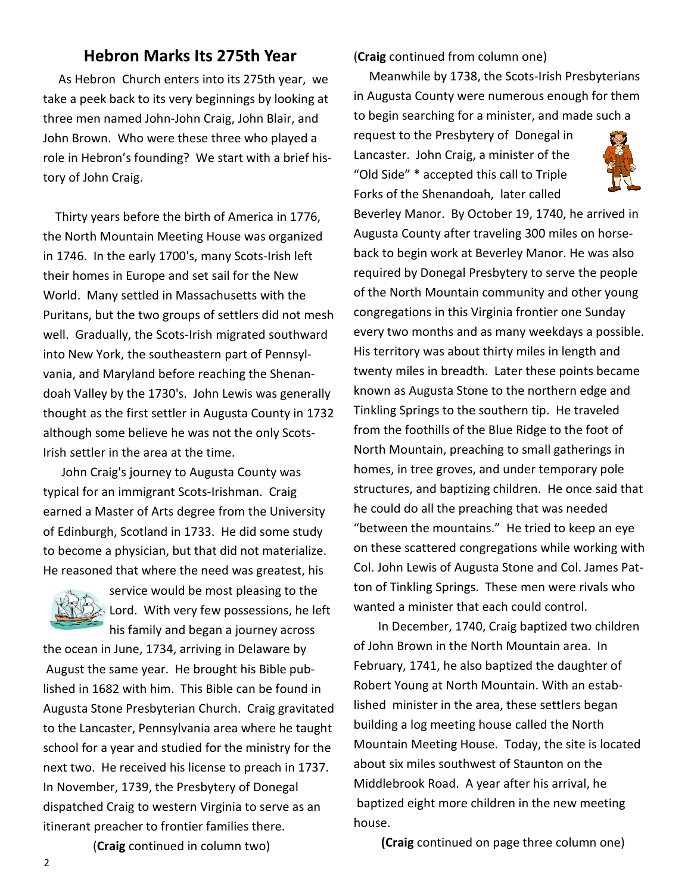#### **Hebron Marks Its 275th Year**

As Hebron Church enters into its 275th year, we take a peek back to its very beginnings by looking at three men named John-John Craig, John Blair, and John Brown. Who were these three who played a role in Hebron's founding? We start with a brief history of John Craig.

Thirty years before the birth of America in 1776, the North Mountain Meeting House was organized in 1746. In the early 1700's, many Scots-Irish left their homes in Europe and set sail for the New World. Many settled in Massachusetts with the Puritans, but the two groups of settlers did not mesh well. Gradually, the Scots-Irish migrated southward into New York, the southeastern part of Pennsylvania, and Maryland before reaching the Shenandoah Valley by the 1730's. John Lewis was generally thought as the first settler in Augusta County in 1732 although some believe he was not the only Scots-Irish settler in the area at the time.

John Craig's journey to Augusta County was typical for an immigrant Scots-Irishman. Craig earned a Master of Arts degree from the University of Edinburgh, Scotland in 1733. He did some study to become a physician, but that did not materialize. He reasoned that where the need was greatest, his



service would be most pleasing to the Lord. With very few possessions, he left his family and began a journey across

the ocean in June, 1734, arriving in Delaware by August the same year. He brought his Bible published in 1682 with him. This Bible can be found in Augusta Stone Presbyterian Church. Craig gravitated to the Lancaster, Pennsylvania area where he taught school for a year and studied for the ministry for the next two. He received his license to preach in 1737. In November, 1739, the Presbytery of Donegal dispatched Craig to western Virginia to serve as an itinerant preacher to frontier families there.

(**Craig** continued from column one)

Meanwhile by 1738, the Scots-Irish Presbyterians in Augusta County were numerous enough for them to begin searching for a minister, and made such a

request to the Presbytery of Donegal in Lancaster. John Craig, a minister of the "Old Side" \* accepted this call to Triple Forks of the Shenandoah, later called



Beverley Manor. By October 19, 1740, he arrived in Augusta County after traveling 300 miles on horseback to begin work at Beverley Manor. He was also required by Donegal Presbytery to serve the people of the North Mountain community and other young congregations in this Virginia frontier one Sunday every two months and as many weekdays a possible. His territory was about thirty miles in length and twenty miles in breadth. Later these points became known as Augusta Stone to the northern edge and Tinkling Springs to the southern tip. He traveled from the foothills of the Blue Ridge to the foot of North Mountain, preaching to small gatherings in homes, in tree groves, and under temporary pole structures, and baptizing children. He once said that he could do all the preaching that was needed "between the mountains." He tried to keep an eye on these scattered congregations while working with Col. John Lewis of Augusta Stone and Col. James Patton of Tinkling Springs. These men were rivals who wanted a minister that each could control.

 In December, 1740, Craig baptized two children of John Brown in the North Mountain area. In February, 1741, he also baptized the daughter of Robert Young at North Mountain. With an established minister in the area, these settlers began building a log meeting house called the North Mountain Meeting House. Today, the site is located about six miles southwest of Staunton on the Middlebrook Road. A year after his arrival, he baptized eight more children in the new meeting house.

 **(Craig** continued on page three column one)

(**Craig** continued in column two)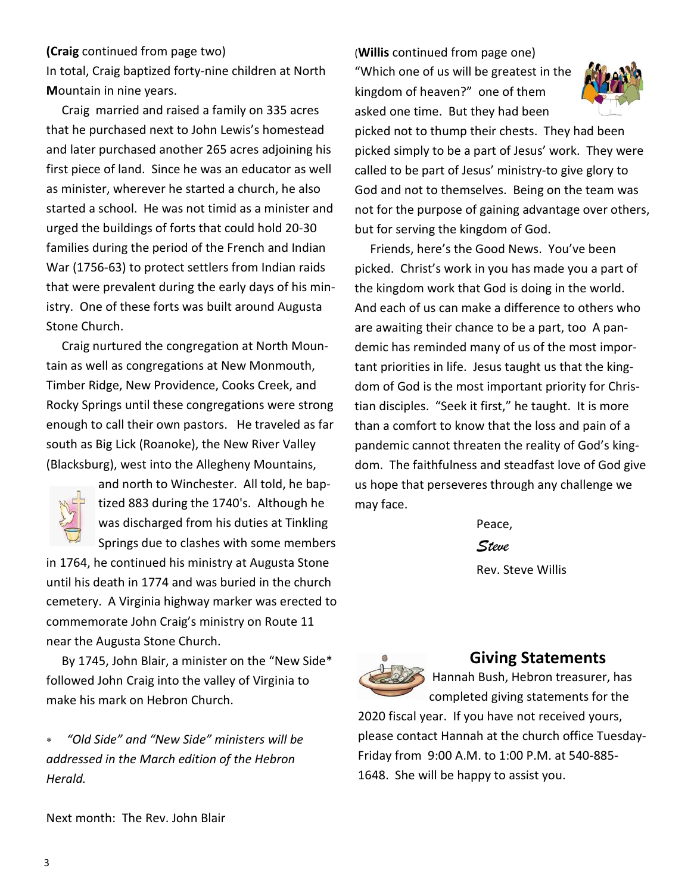#### **(Craig** continued from page two)

In total, Craig baptized forty-nine children at North **Mountain in nine years.** 

Craig married and raised a family on 335 acres that he purchased next to John Lewis's homestead and later purchased another 265 acres adjoining his first piece of land. Since he was an educator as well as minister, wherever he started a church, he also started a school. He was not timid as a minister and urged the buildings of forts that could hold 20-30 families during the period of the French and Indian War (1756-63) to protect settlers from Indian raids that were prevalent during the early days of his ministry. One of these forts was built around Augusta Stone Church.

 Craig nurtured the congregation at North Mountain as well as congregations at New Monmouth, Timber Ridge, New Providence, Cooks Creek, and Rocky Springs until these congregations were strong enough to call their own pastors. He traveled as far south as Big Lick (Roanoke), the New River Valley (Blacksburg), west into the Allegheny Mountains,



and north to Winchester. All told, he baptized 883 during the 1740's. Although he was discharged from his duties at Tinkling Springs due to clashes with some members

in 1764, he continued his ministry at Augusta Stone until his death in 1774 and was buried in the church cemetery. A Virginia highway marker was erected to commemorate John Craig's ministry on Route 11 near the Augusta Stone Church.

By 1745, John Blair, a minister on the "New Side\* followed John Craig into the valley of Virginia to make his mark on Hebron Church.

∗ *"Old Side" and "New Side" ministers will be addressed in the March edition of the Hebron Herald.* 

Next month: The Rev. John Blair

(**Willis** continued from page one) "Which one of us will be greatest in the kingdom of heaven?" one of them asked one time. But they had been



picked not to thump their chests. They had been picked simply to be a part of Jesus' work. They were called to be part of Jesus' ministry-to give glory to God and not to themselves. Being on the team was not for the purpose of gaining advantage over others, but for serving the kingdom of God.

 Friends, here's the Good News. You've been picked. Christ's work in you has made you a part of the kingdom work that God is doing in the world. And each of us can make a difference to others who are awaiting their chance to be a part, too A pandemic has reminded many of us of the most important priorities in life. Jesus taught us that the kingdom of God is the most important priority for Christian disciples. "Seek it first," he taught. It is more than a comfort to know that the loss and pain of a pandemic cannot threaten the reality of God's kingdom. The faithfulness and steadfast love of God give us hope that perseveres through any challenge we may face.

> Peace, *Steve*

Rev. Steve Willis



#### **Giving Statements**

 Hannah Bush, Hebron treasurer, has completed giving statements for the 2020 fiscal year. If you have not received yours,

please contact Hannah at the church office Tuesday-Friday from 9:00 A.M. to 1:00 P.M. at 540-885-1648. She will be happy to assist you.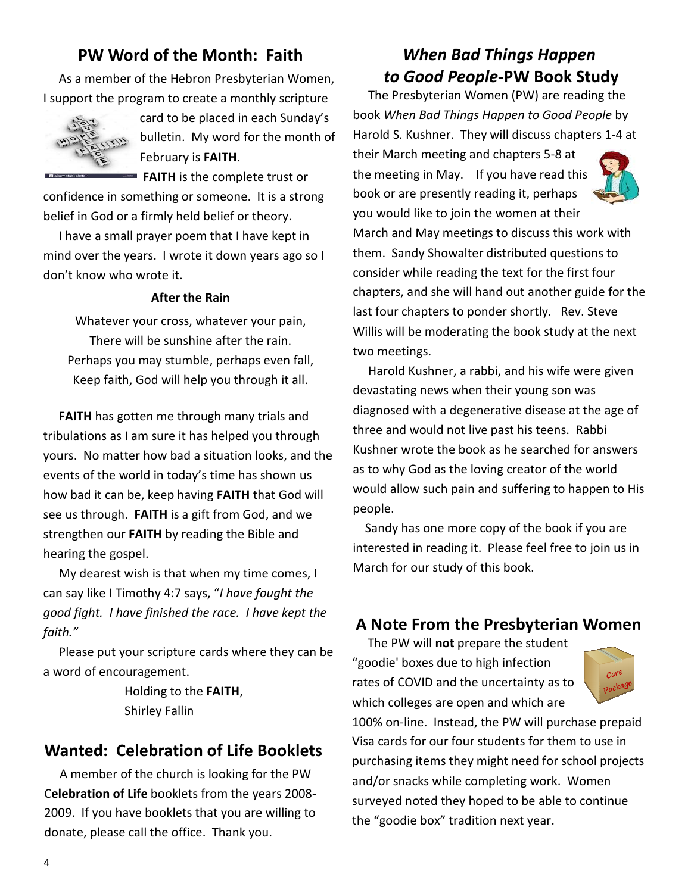#### **PW Word of the Month: Faith**

As a member of the Hebron Presbyterian Women, I support the program to create a monthly scripture



card to be placed in each Sunday's bulletin. My word for the month of February is **FAITH**.

**FAITH** is the complete trust or

confidence in something or someone. It is a strong belief in God or a firmly held belief or theory.

I have a small prayer poem that I have kept in mind over the years. I wrote it down years ago so I don't know who wrote it.

#### **After the Rain**

Whatever your cross, whatever your pain, There will be sunshine after the rain. Perhaps you may stumble, perhaps even fall, Keep faith, God will help you through it all.

**FAITH** has gotten me through many trials and tribulations as I am sure it has helped you through yours. No matter how bad a situation looks, and the events of the world in today's time has shown us how bad it can be, keep having **FAITH** that God will see us through. **FAITH** is a gift from God, and we strengthen our FAITH by reading the Bible and hearing the gospel.

My dearest wish is that when my time comes, I can say like I Timothy 4:7 says, "*I have fought the good fight. I have finished the race. I have kept the faith."* 

Please put your scripture cards where they can be. a word of encouragement.

> Holding to the **FAITH**, Shirley Fallin

#### **Wanted: Celebration of Life Booklets**

A member of the church is looking for the PW Celebration of Life booklets from the years 2008-2009. If you have booklets that you are willing to donate, please call the office. Thank you.

### *When Bad Things Happen*  **to Good People-PW Book Study**

The Presbyterian Women (PW) are reading the book When Bad Things Happen to Good People by Harold S. Kushner. They will discuss chapters 1-4 at

their March meeting and chapters 5-8 at the meeting in May. If you have read this book or are presently reading it, perhaps



you would like to join the women at their March and May meetings to discuss this work with them. Sandy Showalter distributed questions to consider while reading the text for the first four chapters, and she will hand out another guide for the last four chapters to ponder shortly. Rev. Steve Willis will be moderating the book study at the next two meetings.

 Harold Kushner, a rabbi, and his wife were given devastating news when their young son was diagnosed with a degenerative disease at the age of three and would not live past his teens. Rabbi Kushner wrote the book as he searched for answers as to why God as the loving creator of the world would allow such pain and suffering to happen to His people.

Sandy has one more copy of the book if you are interested in reading it. Please feel free to join us in March for our study of this book.

#### **A Note From the Presbyterian Women**

The PW will **not** prepare the student "goodie' boxes due to high infection rates of COVID and the uncertainty as to which colleges are open and which are



100% on-line. Instead, the PW will purchase prepaid Visa cards for our four students for them to use in purchasing items they might need for school projects and/or snacks while completing work. Women surveyed noted they hoped to be able to continue the "goodie box" tradition next year.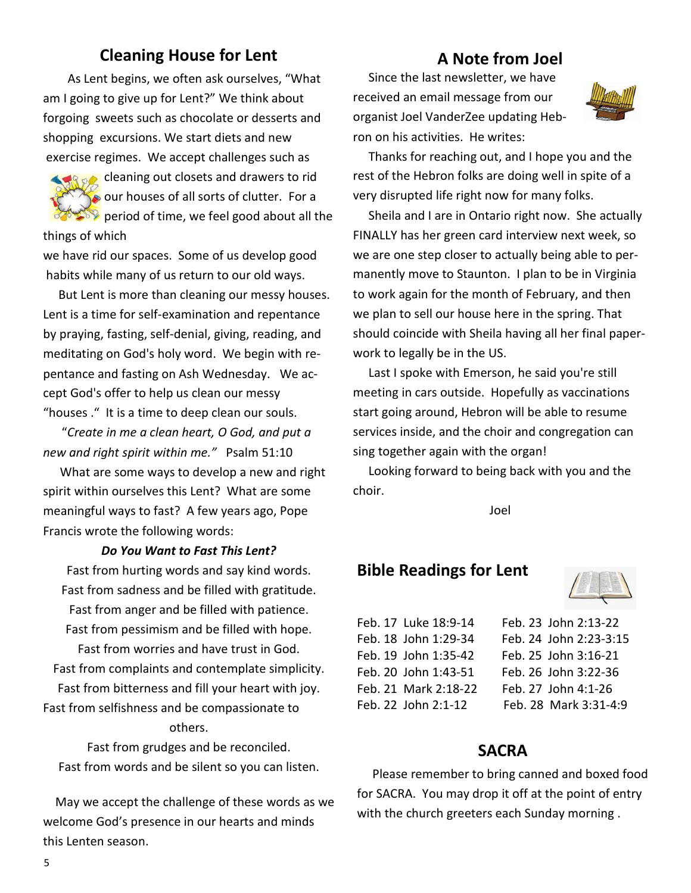#### **Cleaning House for Lent**

As Lent begins, we often ask ourselves, "What am I going to give up for Lent?" We think about forgoing sweets such as chocolate or desserts and shopping excursions. We start diets and new exercise regimes. We accept challenges such as



**Cleaning out closets and drawers to rid** our houses of all sorts of clutter. For a **Properiod of time, we feel good about all the** things of which

we have rid our spaces. Some of us develop good habits while many of us return to our old ways.

But Lent is more than cleaning our messy houses. Lent is a time for self-examination and repentance by praying, fasting, self-denial, giving, reading, and meditating on God's holy word. We begin with repentance and fasting on Ash Wednesday. We accept God's offer to help us clean our messy "houses ." It is a time to deep clean our souls.

 "*Create in me a clean heart, O God, and put a new and right spirit within me."* Psalm 51:10

What are some ways to develop a new and right spirit within ourselves this Lent? What are some meaningful ways to fast? A few years ago, Pope Francis wrote the following words:

#### *Do You Want to Fast This Lent?*

Fast from hurting words and say kind words. Fast from sadness and be filled with gratitude. Fast from anger and be filled with patience. Fast from pessimism and be filled with hope.

Fast from worries and have trust in God. Fast from complaints and contemplate simplicity. Fast from bitterness and fill your heart with joy. Fast from selfishness and be compassionate to others.

Fast from grudges and be reconciled. Fast from words and be silent so you can listen.

May we accept the challenge of these words as we welcome God's presence in our hearts and minds this Lenten season.

#### **A Note from Joel**

 Since the last newsletter, we have received an email message from our organist Joel VanderZee updating Hebron on his activities. He writes:



Thanks for reaching out, and I hope you and the rest of the Hebron folks are doing well in spite of a very disrupted life right now for many folks.

Sheila and I are in Ontario right now. She actually FINALLY has her green card interview next week, so we are one step closer to actually being able to permanently move to Staunton. I plan to be in Virginia to work again for the month of February, and then we plan to sell our house here in the spring. That should coincide with Sheila having all her final paperwork to legally be in the US.

Last I spoke with Emerson, he said you're still meeting in cars outside. Hopefully as vaccinations start going around, Hebron will be able to resume services inside, and the choir and congregation can sing together again with the organ!

Looking forward to being back with you and the choir.

Joel

#### **Bible Readings for Lent**



| Feb. 17 Luke 18:9-14 |
|----------------------|
| Feb. 18 John 1:29-34 |
| Feb. 19 John 1:35-42 |
| Feb. 20 John 1:43-51 |
| Feb. 21 Mark 2:18-22 |
| Feb. 22 John 2:1-12  |

Feb. 23 John 2:13-22 Feb. 24 John 2:23-3:15 Feb. 25 John 3:16-21 Feb. 26 John 3:22-36 Feb. 27 John 4:1-26 Feb. 28 Mark 3:31-4:9

#### **SACRA**

 Please remember to bring canned and boxed food for SACRA. You may drop it off at the point of entry with the church greeters each Sunday morning.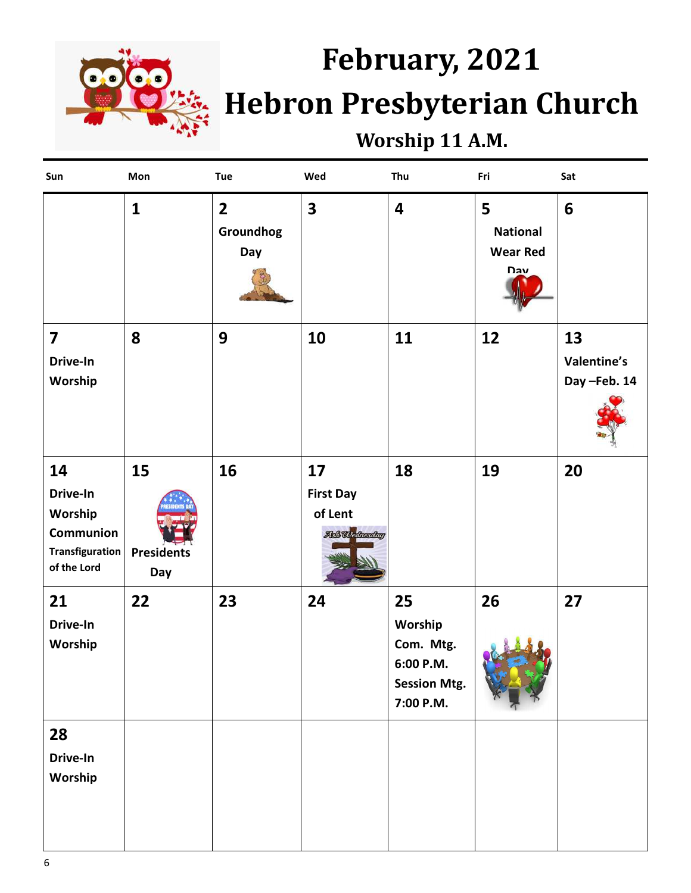

# February, 2021 **Hebron Presbyterian Church**

## **Worship 11 A.M.**

| Sun                                                                                    | Mon                            | <b>Tue</b>                                  | Wed                                                       | Thu                                                                         | Fri                                            | Sat                              |
|----------------------------------------------------------------------------------------|--------------------------------|---------------------------------------------|-----------------------------------------------------------|-----------------------------------------------------------------------------|------------------------------------------------|----------------------------------|
|                                                                                        | $\mathbf{1}$                   | $\overline{\mathbf{2}}$<br>Groundhog<br>Day | $\overline{\mathbf{3}}$                                   | $\overline{\mathbf{4}}$                                                     | 5<br><b>National</b><br><b>Wear Red</b><br>Day | $6\phantom{1}$                   |
| $\overline{\mathbf{z}}$<br>Drive-In<br>Worship                                         | 8                              | 9                                           | 10                                                        | 11                                                                          | 12                                             | 13<br>Valentine's<br>Day-Feb. 14 |
| 14<br>Drive-In<br>Worship<br><b>Communion</b><br><b>Transfiguration</b><br>of the Lord | 15<br><b>Presidents</b><br>Day | 16                                          | 17<br><b>First Day</b><br>of Lent<br><b>Akß Wednesday</b> | 18                                                                          | 19                                             | 20                               |
| 21<br>Drive-In<br>Worship                                                              | 22                             | 23                                          | 24                                                        | 25<br>Worship<br>Com. Mtg.<br>6:00 P.M.<br><b>Session Mtg.</b><br>7:00 P.M. | 26                                             | 27                               |
| 28<br>Drive-In<br>Worship                                                              |                                |                                             |                                                           |                                                                             |                                                |                                  |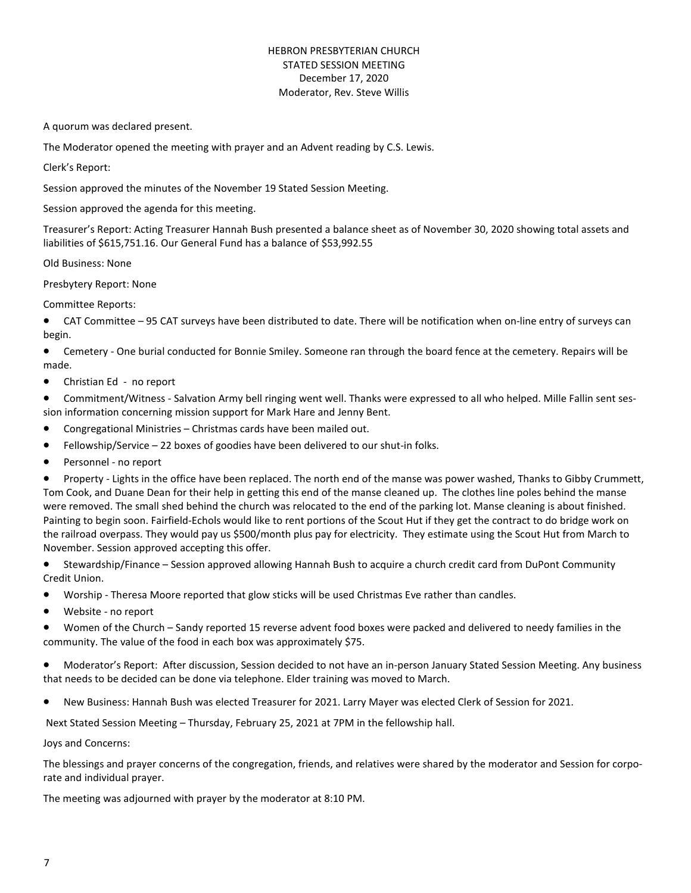#### HEBRON PRESBYTERIAN CHURCH STATED SESSION MEETING December 17, 2020 Moderator, Rev. Steve Willis

A quorum was declared present.

The Moderator opened the meeting with prayer and an Advent reading by C.S. Lewis.

Clerk's Report:

Session approved the minutes of the November 19 Stated Session Meeting.

Session approved the agenda for this meeting.

Treasurer's Report: Acting Treasurer Hannah Bush presented a balance sheet as of November 30, 2020 showing total assets and liabilities of \$615,751.16. Our General Fund has a balance of \$53,992.55

Old Business: None

Presbytery Report: None

Committee Reports:

• CAT Committee – 95 CAT surveys have been distributed to date. There will be notification when on-line entry of surveys can begin.

Cemetery - One burial conducted for Bonnie Smiley. Someone ran through the board fence at the cemetery. Repairs will be made.

• Christian Ed - no report

Commitment/Witness - Salvation Army bell ringing went well. Thanks were expressed to all who helped. Mille Fallin sent session information concerning mission support for Mark Hare and Jenny Bent.

- Congregational Ministries Christmas cards have been mailed out.
- Fellowship/Service 22 boxes of goodies have been delivered to our shut-in folks.
- Personnel no report

Property - Lights in the office have been replaced. The north end of the manse was power washed, Thanks to Gibby Crummett, Tom Cook, and Duane Dean for their help in getting this end of the manse cleaned up. The clothes line poles behind the manse were removed. The small shed behind the church was relocated to the end of the parking lot. Manse cleaning is about finished. Painting to begin soon. Fairfield-Echols would like to rent portions of the Scout Hut if they get the contract to do bridge work on the railroad overpass. They would pay us \$500/month plus pay for electricity. They estimate using the Scout Hut from March to November. Session approved accepting this offer.

Stewardship/Finance – Session approved allowing Hannah Bush to acquire a church credit card from DuPont Community Credit Union.

- Worship Theresa Moore reported that glow sticks will be used Christmas Eve rather than candles.
- Website no report

• Women of the Church – Sandy reported 15 reverse advent food boxes were packed and delivered to needy families in the community. The value of the food in each box was approximately \$75.

Moderator's Report: After discussion, Session decided to not have an in-person January Stated Session Meeting. Any business that needs to be decided can be done via telephone. Elder training was moved to March.

New Business: Hannah Bush was elected Treasurer for 2021. Larry Mayer was elected Clerk of Session for 2021.

Next Stated Session Meeting - Thursday, February 25, 2021 at 7PM in the fellowship hall.

Joys and Concerns:

The blessings and prayer concerns of the congregation, friends, and relatives were shared by the moderator and Session for corporate and individual prayer.

The meeting was adjourned with prayer by the moderator at 8:10 PM.